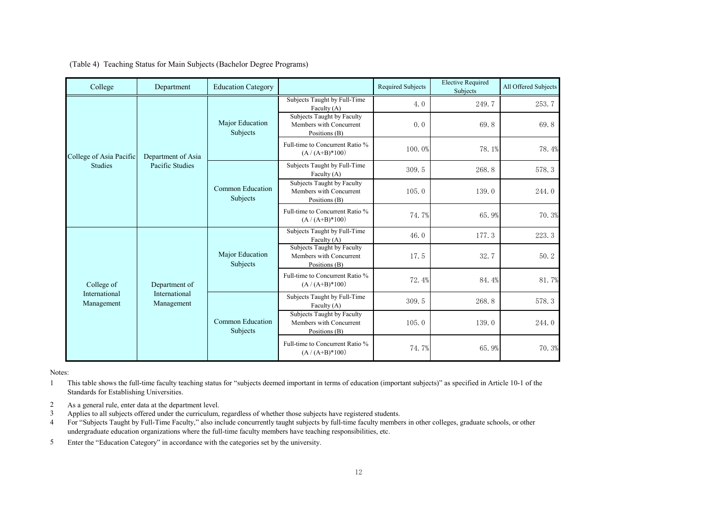|  |  | (Table 4) Teaching Status for Main Subjects (Bachelor Degree Programs) |  |
|--|--|------------------------------------------------------------------------|--|
|  |  |                                                                        |  |

| College                     | Department                                   | <b>Education Category</b>    |                                                                        | <b>Required Subjects</b> | <b>Elective Required</b><br>Subjects | All Offered Subjects |
|-----------------------------|----------------------------------------------|------------------------------|------------------------------------------------------------------------|--------------------------|--------------------------------------|----------------------|
|                             | Department of Asia<br>Pacific Studies        | Major Education<br>Subjects  | Subjects Taught by Full-Time<br>Faculty $(A)$                          | 4.0                      | 249.7                                | 253.7                |
|                             |                                              |                              | Subjects Taught by Faculty<br>Members with Concurrent<br>Positions (B) | 0.0                      | 69.8                                 | 69.8                 |
| College of Asia Pacific     |                                              |                              | Full-time to Concurrent Ratio %<br>$(A / (A+B)*100)$                   | 100.0%                   | 78.1%                                | 78.4%                |
| <b>Studies</b>              |                                              | Common Education<br>Subjects | Subjects Taught by Full-Time<br>Faculty (A)                            | 309.5                    | 268.8                                | 578.3                |
|                             |                                              |                              | Subjects Taught by Faculty<br>Members with Concurrent<br>Positions (B) | 105.0                    | 139.0                                | 244.0                |
|                             |                                              |                              | Full-time to Concurrent Ratio %<br>$(A / (A+B)*100)$                   | 74.7%                    | 65.9%                                | 70.3%                |
| College of                  | Department of<br>International<br>Management | Major Education<br>Subjects  | Subjects Taught by Full-Time<br>Faculty (A)                            | 46.0                     | 177.3                                | 223.3                |
|                             |                                              |                              | Subjects Taught by Faculty<br>Members with Concurrent<br>Positions (B) | 17.5                     | 32.7                                 | 50.2                 |
|                             |                                              |                              | Full-time to Concurrent Ratio %<br>$(A / (A+B)*100)$                   | 72.4%                    | 84.4%                                | 81.7%                |
| International<br>Management |                                              | Common Education<br>Subjects | Subjects Taught by Full-Time<br>Faculty $(A)$                          | 309.5                    | 268.8                                | 578.3                |
|                             |                                              |                              | Subjects Taught by Faculty<br>Members with Concurrent<br>Positions (B) | 105.0                    | 139.0                                | 244.0                |
|                             |                                              |                              | Full-time to Concurrent Ratio %<br>$(A / (A+B)*100)$                   | 74.7%                    | 65.9%                                | 70.3%                |

Notes:

1 This table shows the full-time faculty teaching status for "subjects deemed important in terms of education (important subjects)" as specified in Article 10-1 of the Standards for Establishing Universities.

- 2 As a general rule, enter data at the department level.
- 3 Applies to all subjects offered under the curriculum, regardless of whether those subjects have registered students.
- 4 For "Subjects Taught by Full-Time Faculty," also include concurrently taught subjects by full-time faculty members in other colleges, graduate schools, or other undergraduate education organizations where the full-time faculty members have teaching responsibilities, etc.
- 5 Enter the "Education Category" in accordance with the categories set by the university.